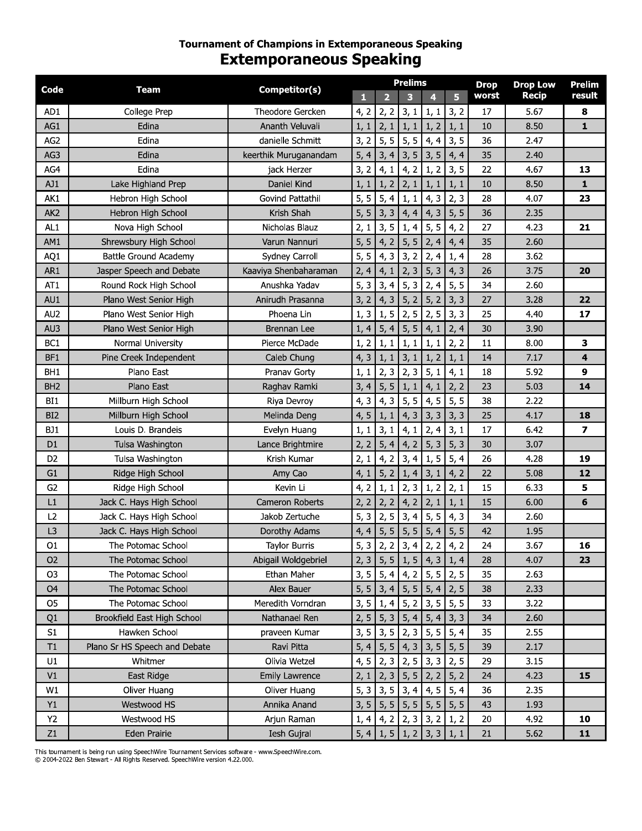## **Tournament of Champions in Extemporaneous Speaking Extemporaneous Speaking**

| Code            | Team                          | Competitor(s)         |      |      | <b>Prelims</b>                            |      |      | <b>Drop</b> | <b>Drop Low</b> | <b>Prelim</b> |
|-----------------|-------------------------------|-----------------------|------|------|-------------------------------------------|------|------|-------------|-----------------|---------------|
|                 |                               |                       | П    |      | 3                                         | 4    | 5    | worst       | <b>Recip</b>    | result        |
| AD1             | College Prep                  | Theodore Gercken      | 4, 2 | 2, 2 | 3, 1                                      | 1, 1 | 3, 2 | 17          | 5.67            | 8             |
| AG1             | Edina                         | Ananth Veluvali       | 1, 1 | 2, 1 | 1, 1                                      | 1, 2 | 1, 1 | 10          | 8.50            | 1             |
| AG <sub>2</sub> | Edina                         | danielle Schmitt      | 3, 2 | 5, 5 | 5, 5                                      | 4, 4 | 3, 5 | 36          | 2.47            |               |
| AG3             | Edina                         | keerthik Muruganandam | 5, 4 | 3, 4 | 3, 5                                      | 3, 5 | 4, 4 | 35          | 2.40            |               |
| AG4             | Edina                         | jack Herzer           | 3, 2 | 4, 1 | 4, 2                                      | 1, 2 | 3, 5 | 22          | 4.67            | 13            |
| AJ1             | Lake Highland Prep            | Daniel Kind           | 1, 1 | 1, 2 | 2, 1                                      | 1, 1 | 1, 1 | 10          | 8.50            | 1             |
| AK1             | Hebron High School            | Govind Pattathil      | 5, 5 | 5, 4 | 1, 1                                      | 4, 3 | 2, 3 | 28          | 4.07            | 23            |
| AK <sub>2</sub> | Hebron High School            | Krish Shah            | 5, 5 | 3, 3 | 4, 4                                      | 4, 3 | 5, 5 | 36          | 2.35            |               |
| AL1             | Nova High School              | Nicholas Blauz        | 2, 1 | 3, 5 | 1, 4                                      | 5, 5 | 4, 2 | 27          | 4.23            | 21            |
| AM1             | Shrewsbury High School        | Varun Nannuri         | 5, 5 | 4, 2 | 5, 5                                      | 2, 4 | 4, 4 | 35          | 2.60            |               |
| AQ1             | <b>Battle Ground Academy</b>  | Sydney Carroll        | 5, 5 | 4, 3 | 3, 2                                      | 2, 4 | 1, 4 | 28          | 3.62            |               |
| AR1             | Jasper Speech and Debate      | Kaaviya Shenbaharaman | 2, 4 | 4, 1 | 2, 3                                      | 5, 3 | 4, 3 | 26          | 3.75            | 20            |
| AT1             | Round Rock High School        | Anushka Yadav         | 5, 3 | 3, 4 | 5, 3                                      | 2, 4 | 5, 5 | 34          | 2.60            |               |
| AU1             | Plano West Senior High        | Anirudh Prasanna      | 3, 2 | 4, 3 | 5, 2                                      | 5, 2 | 3, 3 | 27          | 3.28            | 22            |
| AU2             | Plano West Senior High        | Phoena Lin            | 1, 3 | 1, 5 | 2, 5                                      | 2, 5 | 3, 3 | 25          | 4.40            | 17            |
| AU3             | Plano West Senior High        | Brennan Lee           | 1, 4 | 5, 4 | 5, 5                                      | 4, 1 | 2, 4 | 30          | 3.90            |               |
| BC <sub>1</sub> | Normal University             | Pierce McDade         | 1, 2 | 1, 1 | 1, 1                                      | 1, 1 | 2, 2 | 11          | 8.00            | 3             |
| BF1             | Pine Creek Independent        | Caleb Chung           | 4, 3 | 1, 1 | 3, 1                                      | 1, 2 | 1, 1 | 14          | 7.17            | 4             |
| BH <sub>1</sub> | Plano East                    | Pranav Gorty          | 1, 1 | 2, 3 | 2, 3                                      | 5, 1 | 4, 1 | 18          | 5.92            | 9             |
| BH <sub>2</sub> | Plano East                    | Raghav Ramki          | 3, 4 | 5, 5 | 1, 1                                      | 4, 1 | 2, 2 | 23          | 5.03            | 14            |
| BI1             | Millburn High School          | Riya Devroy           | 4, 3 | 4, 3 | 5, 5                                      | 4, 5 | 5, 5 | 38          | 2.22            |               |
| BI <sub>2</sub> | Millburn High School          | Melinda Deng          | 4, 5 | 1, 1 | 4, 3                                      | 3, 3 | 3, 3 | 25          | 4.17            | 18            |
| BJ1             | Louis D. Brandeis             | Evelyn Huang          | 1, 1 | 3, 1 | 4, 1                                      | 2, 4 | 3, 1 | 17          | 6.42            | 7             |
| D <sub>1</sub>  | Tulsa Washington              | Lance Brightmire      | 2, 2 | 5, 4 | 4, 2                                      | 5, 3 | 5, 3 | 30          | 3.07            |               |
| D <sub>2</sub>  | Tulsa Washington              | Krish Kumar           | 2, 1 | 4, 2 | 3, 4                                      | 1, 5 | 5, 4 | 26          | 4.28            | 19            |
| G <sub>1</sub>  | Ridge High School             | Amy Cao               | 4, 1 | 5, 2 | 1, 4                                      | 3, 1 | 4, 2 | 22          | 5.08            | 12            |
| G <sub>2</sub>  | Ridge High School             | Kevin Li              | 4, 2 | 1, 1 | 2, 3                                      | 1, 2 | 2, 1 | 15          | 6.33            | 5             |
| L1              | Jack C. Hays High School      | Cameron Roberts       | 2, 2 | 2, 2 | 4, 2                                      | 2, 1 | 1, 1 | 15          | 6.00            | 6             |
| L2              | Jack C. Hays High School      | Jakob Zertuche        | 5, 3 | 2, 5 | 3, 4                                      | 5, 5 | 4, 3 | 34          | 2.60            |               |
| L3              | Jack C. Hays High School      | Dorothy Adams         | 4, 4 | 5, 5 | 5, 5                                      | 5, 4 | 5, 5 | 42          | 1.95            |               |
| 01              | The Potomac School            | <b>Taylor Burris</b>  |      |      | $5, 3$ $2, 2$ $3, 4$ $2, 2$               |      | 4, 2 | 24          | 3.67            | 16            |
| O <sub>2</sub>  | The Potomac School            | Abigail Woldgebriel   |      |      | $2, 3$ 5, 5 1, 5 4, 3                     |      | 1, 4 | 28          | 4.07            | 23            |
| O <sub>3</sub>  | The Potomac School            | Ethan Maher           |      |      | $3, 5$ 5, 4 4, 2 5, 5                     |      | 2, 5 | 35          | 2.63            |               |
| O <sub>4</sub>  | The Potomac School            | Alex Bauer            |      |      | $5, 5$ 3, 4 5, 5 5, 4                     |      | 2, 5 | 38          | 2.33            |               |
| O5              | The Potomac School            | Meredith Vorndran     |      |      | $3, 5 \mid 1, 4 \mid 5, 2 \mid 3, 5 \mid$ |      | 5, 5 | 33          | 3.22            |               |
| Q1              | Brookfield East High School   | Nathanael Ren         |      |      | 2, 5   5, 3   5, 4   5, 4                 |      | 3, 3 | 34          | 2.60            |               |
| S1              | Hawken School                 | praveen Kumar         |      |      | $3, 5$ 3, $5$ 2, $3$                      | 5, 5 | 5, 4 | 35          | 2.55            |               |
| T1              | Plano Sr HS Speech and Debate | Ravi Pitta            |      |      | $5, 4$ 5, 5 4, 3 3, 5                     |      | 5, 5 | 39          | 2.17            |               |
| U1              | Whitmer                       | Olivia Wetzel         |      |      | $4, 5$ 2, 3 2, 5 3, 3                     |      | 2, 5 | 29          | 3.15            |               |
| V1              | East Ridge                    | Emily Lawrence        | 2, 1 | 2, 3 | 5, 5                                      | 2, 2 | 5, 2 | 24          | 4.23            | 15            |
| W1              | Oliver Huang                  | Oliver Huang          |      |      | $5, 3$ 3, $5$ 3, 4                        | 4, 5 | 5, 4 | 36          | 2.35            |               |
| Y1              | Westwood HS                   | Annika Anand          |      |      | $3, 5$ 5, 5 5, 5 5, 5                     |      | 5, 5 | 43          | 1.93            |               |
|                 |                               |                       |      |      |                                           |      |      |             |                 |               |
| Y2              | Westwood HS                   | Arjun Raman           |      |      | $1, 4$ 4, 2 2, 3 3, 2                     |      | 1, 2 | 20          | 4.92            | 10            |
| Z1              | Eden Prairie                  | Iesh Gujral           |      |      | $5, 4$   1, 5   1, 2   3, 3               |      | 1, 1 | 21          | 5.62            | 11            |

This tournament is being run using SpeechWire Tournament Services software - www.SpeechWire.com.<br>© 2004-2022 Ben Stewart - All Rights Reserved. SpeechWire version 4.22.000.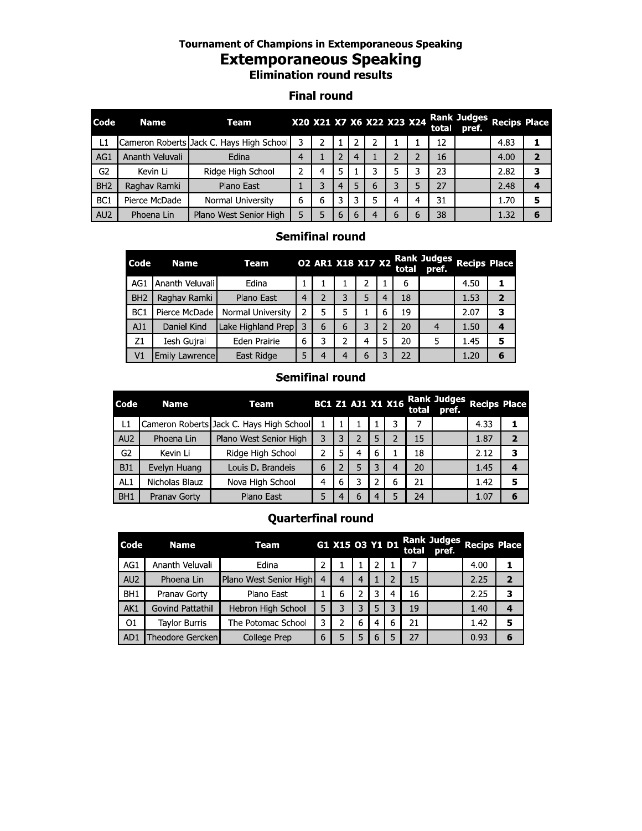#### Tournament of Champions in Extemporaneous Speaking

# Extemporaneous Speaking

## Finai round

|                 |                        |                 |  | <b>Extemporaneous Speaking</b><br><b>Elimination round results</b> |                    |                   |                |   |                     |                           |                |                                   |                             |                     |                |
|-----------------|------------------------|-----------------|--|--------------------------------------------------------------------|--------------------|-------------------|----------------|---|---------------------|---------------------------|----------------|-----------------------------------|-----------------------------|---------------------|----------------|
|                 |                        |                 |  |                                                                    | <b>Final round</b> |                   |                |   |                     |                           |                |                                   |                             |                     |                |
| Code            | <b>Name</b>            |                 |  | Team                                                               |                    |                   |                |   |                     | X20 X21 X7 X6 X22 X23 X24 |                | total                             | <b>Rank Judges</b><br>pref. | <b>Recips Place</b> |                |
| L1              |                        |                 |  | Cameron Roberts Jack C. Hays High School                           | 3                  | $\overline{2}$    | 1              | 2 | $\overline{2}$      |                           |                | 12                                |                             | 4.83                | 1              |
| AG1             | Ananth Veluvali        |                 |  | Edina                                                              | 4                  |                   | 2              | 4 | 1                   | 2                         | $\overline{2}$ | 16                                |                             | 4.00                | $\overline{2}$ |
| G2              | Kevin Li               |                 |  | Ridge High School                                                  | 2                  | 4                 | 5              |   | 3                   | 5                         | 3              | 23                                |                             | 2.82                | 3              |
| BH <sub>2</sub> | Raghav Ramki           |                 |  | Plano East                                                         | $\mathbf{1}$       | 3                 | $\overline{4}$ | 5 | 6                   | 3                         | 5.             | 27                                |                             | 2.48                | 4              |
| BC <sub>1</sub> |                        | Pierce McDade   |  | Normal University                                                  | 6                  | 6                 | 3              | 3 | 5                   | 4                         | 4              | 31                                |                             | 1.70                | 5              |
| AU <sub>2</sub> | Phoena Lin             |                 |  | Plano West Senior High                                             | 5                  | 5.                | 6              | 6 | 4                   | 6                         | 6              | 38                                |                             | 1.32                | 6              |
|                 | <b>Semifinal round</b> |                 |  |                                                                    |                    |                   |                |   |                     |                           |                |                                   |                             |                     |                |
|                 | Code                   | <b>Name</b>     |  | <b>Team</b>                                                        |                    | 02 AR1 X18 X17 X2 |                |   |                     |                           |                | <b>Rank Judges</b><br>total pref. | <b>Recips Place</b>         |                     |                |
|                 | AG1                    | Ananth Veluvali |  | Edina                                                              | $\mathbf{1}$       | 1                 | 1              |   | $\overline{2}$<br>1 |                           | 6              |                                   | 4.50                        | 1                   |                |
|                 | BH <sub>2</sub>        | Raghav Ramki    |  | Plano East                                                         | 4                  | $\overline{2}$    | 3.             |   | 5.                  | 4                         | 18             |                                   | 1.53                        | $\overline{2}$      |                |

## Semifinai roung

| Code            | <b>Name</b>     | Team                                     |                | 02 AR1 X18 X17 X2 |   |                          |                | total | <b>Rank Judges</b><br>pref.          | <b>Recips Place</b> |                   |   |
|-----------------|-----------------|------------------------------------------|----------------|-------------------|---|--------------------------|----------------|-------|--------------------------------------|---------------------|-------------------|---|
| AG1             | Ananth Veluvali | Edina                                    | 1              |                   | 1 | 2                        |                | 6     |                                      | 4.50                | 1                 |   |
| BH <sub>2</sub> | Raghav Ramki    | Plano East                               | $\overline{4}$ | $\overline{2}$    | 3 | 5                        | $\overline{4}$ | 18    |                                      | 1.53                | $\overline{2}$    |   |
| BC <sub>1</sub> | Pierce McDade   | Normal University                        | $\overline{2}$ | 5                 | 5 | 1                        | 6              | 19    |                                      | 2.07                | 3                 |   |
| AJ1             | Daniel Kind     | Lake Highland Prep                       | 3              | 6                 | 6 | 3                        | $\overline{2}$ | 20    | 4                                    | 1.50                | 4                 |   |
| Z1              | Iesh Guiral     | Eden Prairie                             | 6              | 3                 | 2 | 4                        | 5              | 20    | 5                                    | 1.45                | 5                 |   |
| V1              | Emily Lawrence  | East Ridge                               | 5              | 4                 | 4 | 6                        | 3              | 22    |                                      | 1.20                | 6                 |   |
|                 |                 |                                          |                | Semifinal round   |   |                          |                |       |                                      |                     |                   |   |
| Code            | <b>Name</b>     | Team                                     |                |                   |   | <b>BC1 Z1 AJ1 X1 X16</b> |                |       | <b>Rank Judges</b><br>total<br>pref. |                     | <b>Recips Pla</b> |   |
| L1              |                 | Cameron Roberts Jack C. Hays High School |                |                   |   |                          |                | 3     | 7                                    | 4.33                |                   | 1 |
| AU <sub>2</sub> | Phoena Lin      | Plano West Senior High                   |                | 3                 | 3 | 2                        | 5              | 2     | 15                                   | 1.87                |                   | 2 |
|                 |                 |                                          |                |                   |   |                          |                |       |                                      |                     |                   |   |

## Semifinai roung

|                |                           | 4 |                | 5                        | ZÜ |              | ь                           | 1.45                | ь |                |
|----------------|---------------------------|---|----------------|--------------------------|----|--------------|-----------------------------|---------------------|---|----------------|
|                |                           | 6 |                | 3                        | 22 |              |                             | 1.20                | 6 |                |
|                | <b>Semifinal round</b>    |   |                |                          |    |              |                             |                     |   |                |
|                |                           |   |                | <b>BC1 Z1 AJ1 X1 X16</b> |    | <u>total</u> | <b>Rank Judges</b><br>pref. | <b>Recips Place</b> |   |                |
|                |                           |   |                | 3                        |    | 7            |                             | 4.33                |   | 1              |
| $\overline{2}$ |                           |   | 5              | $\overline{2}$           |    | 15           |                             | 1.87                |   | $\overline{2}$ |
| 4              |                           |   | 6              |                          |    | 18           |                             | 2.12                |   | 3              |
| 5              |                           |   | 3              | 4                        |    | 20           |                             | 1.45                |   | 4              |
| 3              |                           |   | 2              | 6                        |    | 21           |                             | 1.42                |   | 5              |
| 6              |                           |   | 4              | 5                        |    | 24           |                             | 1.07                |   | 6              |
|                | <b>Quarterfinal round</b> |   |                |                          |    |              |                             |                     |   |                |
|                | G1 X15 03 Y1 D1           |   |                |                          |    | total        | <b>Rank Judges</b><br>pref. | <b>Recips Place</b> |   |                |
|                |                           |   | $\overline{2}$ |                          |    | 7            |                             | 4.00                | 1 |                |

#### Quarterfinai round

| RHT.                      | Pranav Gorty            | Plano East             | Ь              | $-4$            | h | 4            | ь | 24    |                             | 1.07                | ь              |  |
|---------------------------|-------------------------|------------------------|----------------|-----------------|---|--------------|---|-------|-----------------------------|---------------------|----------------|--|
| <b>Quarterfinal round</b> |                         |                        |                |                 |   |              |   |       |                             |                     |                |  |
| Code                      | <b>Name</b>             | Team                   |                | G1 X15 03 Y1 D1 |   |              |   | total | <b>Rank Judges</b><br>pref. | <b>Recips Place</b> |                |  |
| AG1                       | Ananth Veluvali         | Edina                  | 2              | 1               |   | 2            |   | 7     |                             | 4.00                | 1              |  |
| AU <sub>2</sub>           | Phoena Lin              | Plano West Senior High | $\overline{4}$ | 4               | 4 | $\mathbf{1}$ | 2 | 15    |                             | 2.25                | $\overline{2}$ |  |
| BH <sub>1</sub>           | Pranav Gorty            | Plano East             |                | 6               | 2 | 3            | 4 | 16    |                             | 2.25                | 3              |  |
| AK1                       | <b>Govind Pattathil</b> | Hebron High School     | 5              | 3               | 3 | 5            | 3 | 19    |                             | 1.40                | 4              |  |
| 01                        | <b>Taylor Burris</b>    | The Potomac School     | 3              | 2               | 6 | 4            | 6 | 21    |                             | 1.42                | 5              |  |
| AD1                       | Theodore Gercken        | College Prep           | 6              | 5               | 5 | 6            | 5 | 27    |                             | 0.93                | 6              |  |
|                           |                         |                        |                |                 |   |              |   |       |                             |                     |                |  |
|                           |                         |                        |                |                 |   |              |   |       |                             |                     |                |  |